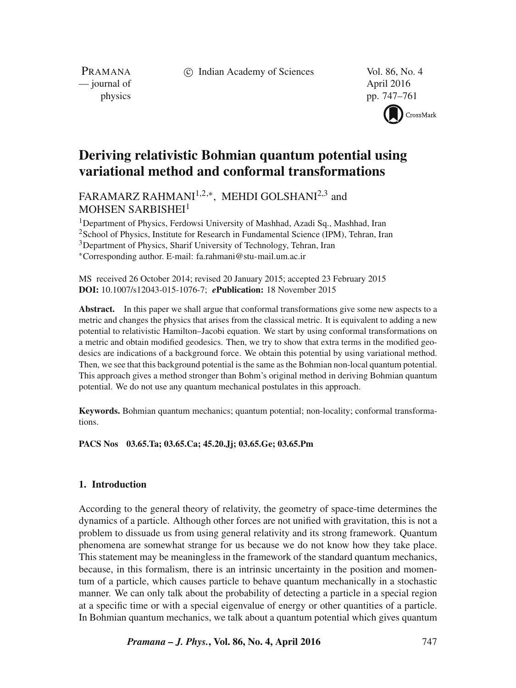c Indian Academy of Sciences Vol. 86, No. 4

PRAMANA — journal of April 2016

physics pp. 747–761



# **Deriving relativistic Bohmian quantum potential using variational method and conformal transformations**

FARAMARZ RAHMANI1,2,∗, MEHDI GOLSHANI2,3 and MOHSEN SARBISHEI<sup>1</sup>

<sup>1</sup>Department of Physics, Ferdowsi University of Mashhad, Azadi Sq., Mashhad, Iran 2School of Physics, Institute for Research in Fundamental Science (IPM), Tehran, Iran <sup>3</sup>Department of Physics, Sharif University of Technology, Tehran, Iran ∗Corresponding author. E-mail: fa.rahmani@stu-mail.um.ac.ir

MS received 26 October 2014; revised 20 January 2015; accepted 23 February 2015 **DOI:** 10.1007/s12043-015-1076-7; *e***Publication:** 18 November 2015

**Abstract.** In this paper we shall argue that conformal transformations give some new aspects to a metric and changes the physics that arises from the classical metric. It is equivalent to adding a new potential to relativistic Hamilton–Jacobi equation. We start by using conformal transformations on a metric and obtain modified geodesics. Then, we try to show that extra terms in the modified geodesics are indications of a background force. We obtain this potential by using variational method. Then, we see that this background potential is the same as the Bohmian non-local quantum potential. This approach gives a method stronger than Bohm's original method in deriving Bohmian quantum potential. We do not use any quantum mechanical postulates in this approach.

**Keywords.** Bohmian quantum mechanics; quantum potential; non-locality; conformal transformations.

**PACS Nos 03.65.Ta; 03.65.Ca; 45.20.Jj; 03.65.Ge; 03.65.Pm**

# **1. Introduction**

According to the general theory of relativity, the geometry of space-time determines the dynamics of a particle. Although other forces are not unified with gravitation, this is not a problem to dissuade us from using general relativity and its strong framework. Quantum phenomena are somewhat strange for us because we do not know how they take place. This statement may be meaningless in the framework of the standard quantum mechanics, because, in this formalism, there is an intrinsic uncertainty in the position and momentum of a particle, which causes particle to behave quantum mechanically in a stochastic manner. We can only talk about the probability of detecting a particle in a special region at a specific time or with a special eigenvalue of energy or other quantities of a particle. In Bohmian quantum mechanics, we talk about a quantum potential which gives quantum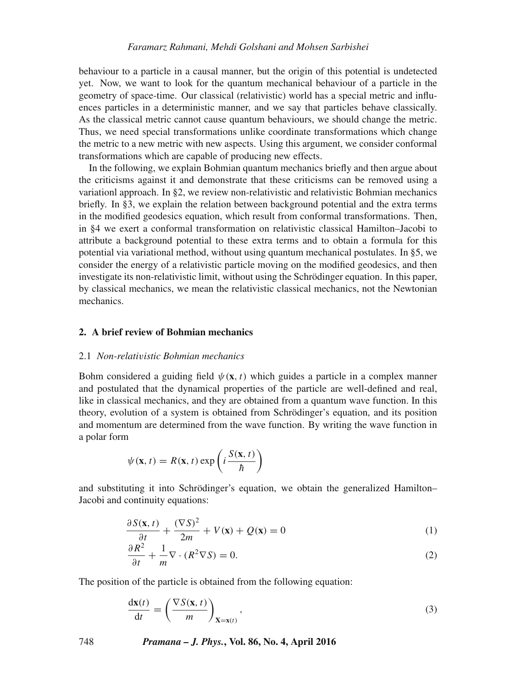behaviour to a particle in a causal manner, but the origin of this potential is undetected yet. Now, we want to look for the quantum mechanical behaviour of a particle in the geometry of space-time. Our classical (relativistic) world has a special metric and influences particles in a deterministic manner, and we say that particles behave classically. As the classical metric cannot cause quantum behaviours, we should change the metric. Thus, we need special transformations unlike coordinate transformations which change the metric to a new metric with new aspects. Using this argument, we consider conformal transformations which are capable of producing new effects.

In the following, we explain Bohmian quantum mechanics briefly and then argue about the criticisms against it and demonstrate that these criticisms can be removed using a variationl approach. In §2, we review non-relativistic and relativistic Bohmian mechanics briefly. In §3, we explain the relation between background potential and the extra terms in the modified geodesics equation, which result from conformal transformations. Then, in §4 we exert a conformal transformation on relativistic classical Hamilton–Jacobi to attribute a background potential to these extra terms and to obtain a formula for this potential via variational method, without using quantum mechanical postulates. In §5, we consider the energy of a relativistic particle moving on the modified geodesics, and then investigate its non-relativistic limit, without using the Schrödinger equation. In this paper, by classical mechanics, we mean the relativistic classical mechanics, not the Newtonian mechanics.

# **2. A brief review of Bohmian mechanics**

#### 2.1 *Non-relati*v*istic Bohmian mechanics*

Bohm considered a guiding field  $\psi(\mathbf{x},t)$  which guides a particle in a complex manner and postulated that the dynamical properties of the particle are well-defined and real, like in classical mechanics, and they are obtained from a quantum wave function. In this theory, evolution of a system is obtained from Schrödinger's equation, and its position and momentum are determined from the wave function. By writing the wave function in a polar form

$$
\psi(\mathbf{x}, t) = R(\mathbf{x}, t) \exp\left(i \frac{S(\mathbf{x}, t)}{\hbar}\right)
$$

and substituting it into Schrödinger's equation, we obtain the generalized Hamilton– Jacobi and continuity equations:

$$
\frac{\partial S(\mathbf{x},t)}{\partial t} + \frac{(\nabla S)^2}{2m} + V(\mathbf{x}) + Q(\mathbf{x}) = 0
$$
\n
$$
\frac{\partial R^2}{\partial t^2} + V(\mathbf{x}) + Q(\mathbf{x}) = 0
$$
\n(1)

$$
\frac{\partial R^2}{\partial t} + \frac{1}{m} \nabla \cdot (R^2 \nabla S) = 0.
$$
 (2)

The position of the particle is obtained from the following equation:

$$
\frac{d\mathbf{x}(t)}{dt} = \left(\frac{\nabla S(\mathbf{x}, t)}{m}\right)_{\mathbf{X} = \mathbf{x}(t)},
$$
\n(3)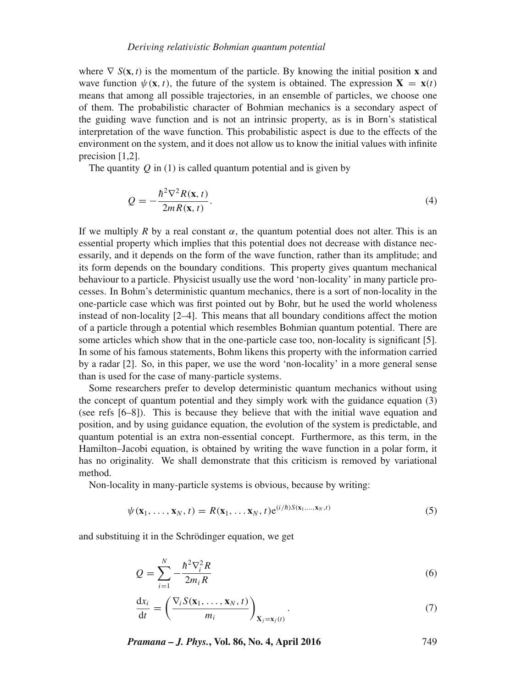where  $\nabla S(\mathbf{x}, t)$  is the momentum of the particle. By knowing the initial position **x** and wave function  $\psi(\mathbf{x},t)$ , the future of the system is obtained. The expression  $\mathbf{X} = \mathbf{x}(t)$ means that among all possible trajectories, in an ensemble of particles, we choose one of them. The probabilistic character of Bohmian mechanics is a secondary aspect of the guiding wave function and is not an intrinsic property, as is in Born's statistical interpretation of the wave function. This probabilistic aspect is due to the effects of the environment on the system, and it does not allow us to know the initial values with infinite precision [1,2].

The quantity  $\hat{O}$  in (1) is called quantum potential and is given by

$$
Q = -\frac{\hbar^2 \nabla^2 R(\mathbf{x}, t)}{2m R(\mathbf{x}, t)}.
$$
\n(4)

If we multiply *R* by a real constant  $\alpha$ , the quantum potential does not alter. This is an essential property which implies that this potential does not decrease with distance necessarily, and it depends on the form of the wave function, rather than its amplitude; and its form depends on the boundary conditions. This property gives quantum mechanical behaviour to a particle. Physicist usually use the word 'non-locality' in many particle processes. In Bohm's deterministic quantum mechanics, there is a sort of non-locality in the one-particle case which was first pointed out by Bohr, but he used the world wholeness instead of non-locality [2–4]. This means that all boundary conditions affect the motion of a particle through a potential which resembles Bohmian quantum potential. There are some articles which show that in the one-particle case too, non-locality is significant [5]. In some of his famous statements, Bohm likens this property with the information carried by a radar [2]. So, in this paper, we use the word 'non-locality' in a more general sense than is used for the case of many-particle systems.

Some researchers prefer to develop deterministic quantum mechanics without using the concept of quantum potential and they simply work with the guidance equation (3) (see refs [6–8]). This is because they believe that with the initial wave equation and position, and by using guidance equation, the evolution of the system is predictable, and quantum potential is an extra non-essential concept. Furthermore, as this term, in the Hamilton–Jacobi equation, is obtained by writing the wave function in a polar form, it has no originality. We shall demonstrate that this criticism is removed by variational method.

Non-locality in many-particle systems is obvious, because by writing:

$$
\psi(\mathbf{x}_1,\ldots,\mathbf{x}_N,t)=R(\mathbf{x}_1,\ldots,\mathbf{x}_N,t)e^{(i/\hbar)S(\mathbf{x}_1,\ldots,\mathbf{x}_N,t)}
$$
(5)

and substituing it in the Schrödinger equation, we get

$$
Q = \sum_{i=1}^{N} -\frac{\hbar^2 \nabla_i^2 R}{2m_i R}
$$
 (6)

$$
\frac{\mathrm{d}x_i}{\mathrm{d}t} = \left(\frac{\nabla_i S(\mathbf{x}_1, \dots, \mathbf{x}_N, t)}{m_i}\right)_{\mathbf{X}_j = \mathbf{x}_j(t)}.\tag{7}
$$

*Pramana – J. Phys.***, Vol. 86, No. 4, April 2016** 749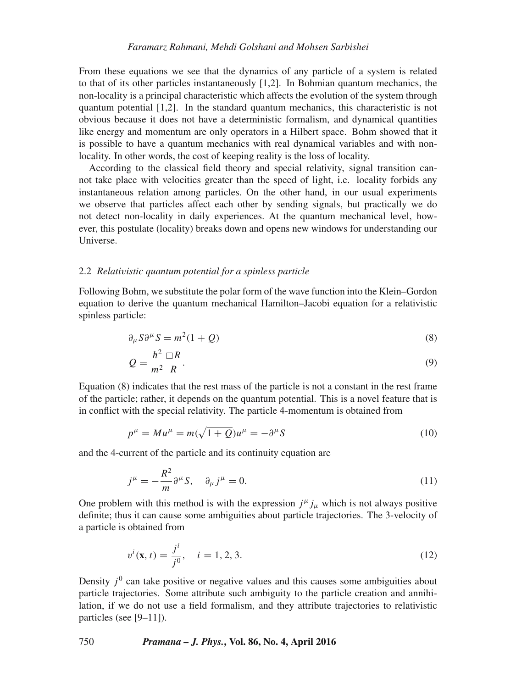From these equations we see that the dynamics of any particle of a system is related to that of its other particles instantaneously [1,2]. In Bohmian quantum mechanics, the non-locality is a principal characteristic which affects the evolution of the system through quantum potential [1,2]. In the standard quantum mechanics, this characteristic is not obvious because it does not have a deterministic formalism, and dynamical quantities like energy and momentum are only operators in a Hilbert space. Bohm showed that it is possible to have a quantum mechanics with real dynamical variables and with nonlocality. In other words, the cost of keeping reality is the loss of locality.

According to the classical field theory and special relativity, signal transition cannot take place with velocities greater than the speed of light, i.e. locality forbids any instantaneous relation among particles. On the other hand, in our usual experiments we observe that particles affect each other by sending signals, but practically we do not detect non-locality in daily experiences. At the quantum mechanical level, however, this postulate (locality) breaks down and opens new windows for understanding our Universe.

#### 2.2 *Relati*v*istic quantum potential for a spinless particle*

Following Bohm, we substitute the polar form of the wave function into the Klein–Gordon equation to derive the quantum mechanical Hamilton–Jacobi equation for a relativistic spinless particle:

$$
\partial_{\mu} S \partial^{\mu} S = m^2 (1 + Q) \tag{8}
$$

$$
Q = \frac{\hbar^2}{m^2} \frac{\Box R}{R}.
$$
\n(9)

Equation (8) indicates that the rest mass of the particle is not a constant in the rest frame of the particle; rather, it depends on the quantum potential. This is a novel feature that is in conflict with the special relativity. The particle 4-momentum is obtained from

$$
p^{\mu} = M u^{\mu} = m(\sqrt{1+Q})u^{\mu} = -\partial^{\mu} S
$$
\n(10)

and the 4-current of the particle and its continuity equation are

$$
j^{\mu} = -\frac{R^2}{m}\partial^{\mu}S, \quad \partial_{\mu}j^{\mu} = 0.
$$
 (11)

One problem with this method is with the expression  $j^{\mu}j_{\mu}$  which is not always positive definite: thus it can cause some ambiguities about particle trajectories. The 3-velocity of definite; thus it can cause some ambiguities about particle trajectories. The 3-velocity of a particle is obtained from

$$
v^{i}(\mathbf{x}, t) = \frac{j^{i}}{j^{0}}, \quad i = 1, 2, 3.
$$
 (12)

Density  $j^0$  can take positive or negative values and this causes some ambiguities about particle trajectories. Some attribute such ambiguity to the particle creation and annihilation, if we do not use a field formalism, and they attribute trajectories to relativistic particles (see [9–11]).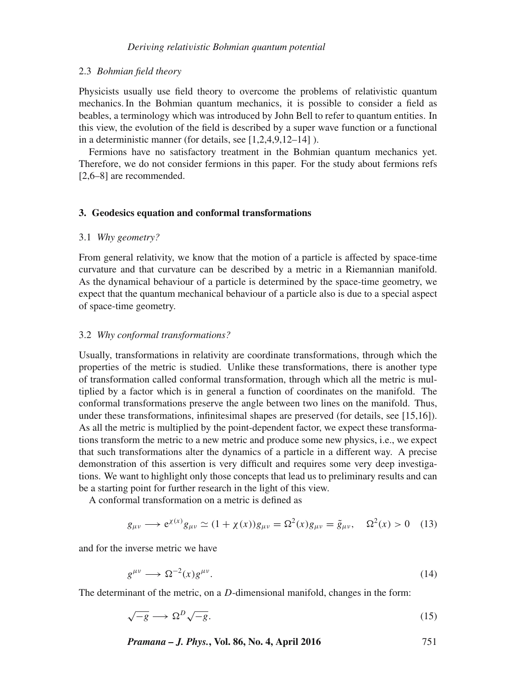#### 2.3 *Bohmian field theory*

Physicists usually use field theory to overcome the problems of relativistic quantum mechanics. In the Bohmian quantum mechanics, it is possible to consider a field as beables, a terminology which was introduced by John Bell to refer to quantum entities. In this view, the evolution of the field is described by a super wave function or a functional in a deterministic manner (for details, see [1,2,4,9,12–14] ).

Fermions have no satisfactory treatment in the Bohmian quantum mechanics yet. Therefore, we do not consider fermions in this paper. For the study about fermions refs [2,6–8] are recommended.

#### **3. Geodesics equation and conformal transformations**

### 3.1 *Why geometry?*

From general relativity, we know that the motion of a particle is affected by space-time curvature and that curvature can be described by a metric in a Riemannian manifold. As the dynamical behaviour of a particle is determined by the space-time geometry, we expect that the quantum mechanical behaviour of a particle also is due to a special aspect of space-time geometry.

### 3.2 *Why conformal transformations?*

Usually, transformations in relativity are coordinate transformations, through which the properties of the metric is studied. Unlike these transformations, there is another type of transformation called conformal transformation, through which all the metric is multiplied by a factor which is in general a function of coordinates on the manifold. The conformal transformations preserve the angle between two lines on the manifold. Thus, under these transformations, infinitesimal shapes are preserved (for details, see [15,16]). As all the metric is multiplied by the point-dependent factor, we expect these transformations transform the metric to a new metric and produce some new physics, i.e., we expect that such transformations alter the dynamics of a particle in a different way. A precise demonstration of this assertion is very difficult and requires some very deep investigations. We want to highlight only those concepts that lead us to preliminary results and can be a starting point for further research in the light of this view.

A conformal transformation on a metric is defined as

$$
g_{\mu\nu} \longrightarrow e^{\chi(x)} g_{\mu\nu} \simeq (1 + \chi(x)) g_{\mu\nu} = \Omega^2(x) g_{\mu\nu} = \tilde{g}_{\mu\nu}, \quad \Omega^2(x) > 0 \quad (13)
$$

and for the inverse metric we have

$$
g^{\mu\nu} \longrightarrow \Omega^{-2}(x)g^{\mu\nu}.\tag{14}
$$

The determinant of the metric, on a  $D$ -dimensional manifold, changes in the form:

$$
\sqrt{-g} \longrightarrow \Omega^D \sqrt{-g}.\tag{15}
$$

*Pramana – J. Phys.***, Vol. 86, No. 4, April 2016** 751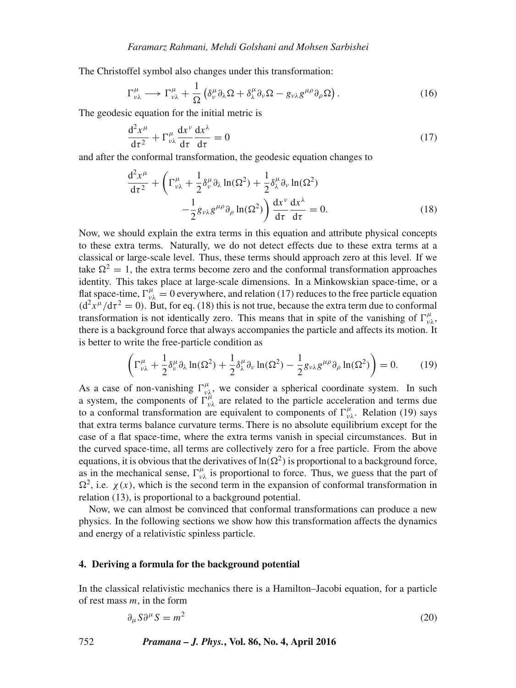The Christoffel symbol also changes under this transformation:

$$
\Gamma^{\mu}_{\nu\lambda} \longrightarrow \Gamma^{\mu}_{\nu\lambda} + \frac{1}{\Omega} \left( \delta^{\mu}_{\nu} \partial_{\lambda} \Omega + \delta^{\mu}_{\lambda} \partial_{\nu} \Omega - g_{\nu\lambda} g^{\mu\rho} \partial_{\rho} \Omega \right).
$$
 (16)

The geodesic equation for the initial metric is

$$
\frac{d^2 x^{\mu}}{d\tau^2} + \Gamma^{\mu}_{\nu\lambda} \frac{dx^{\nu}}{d\tau} \frac{dx^{\lambda}}{d\tau} = 0
$$
 (17)  
and after the conformal transformation, the geodesic equation changes to

$$
\frac{d^2 x^{\mu}}{dt^2} + \left(\Gamma^{\mu}_{\nu\lambda} + \frac{1}{2}\delta^{\mu}_{\nu}\partial_{\lambda}\ln(\Omega^2) + \frac{1}{2}\delta^{\mu}_{\lambda}\partial_{\nu}\ln(\Omega^2) - \frac{1}{2}g_{\nu\lambda}g^{\mu\rho}\partial_{\rho}\ln(\Omega^2)\right)\frac{dx^{\nu}}{d\tau}\frac{dx^{\lambda}}{d\tau} = 0.
$$
\n(18)

Now, we should explain the extra terms in this equation and attribute physical concepts to these extra terms. Naturally, we do not detect effects due to these extra terms at a classical or large-scale level. Thus, these terms should approach zero at this level. If we take  $\Omega^2 = 1$ , the extra terms become zero and the conformal transformation approaches identity. This takes place at large-scale dimensions. In a Minkowskian space-time, or a flat space-time,  $\Gamma^{\mu}_{\nu\lambda} = 0$  everywhere, and relation (17) reduces to the free particle equation  $(d^2 x^{\mu}/dx^2 = 0)$ . But, for eq. (18) this is not true, because the extra term due to conformal  $(d^2x^{\mu}/d\tau^2 = 0)$ . But, for eq. (18) this is not true, because the extra term due to conformal transformation is not identically zero. This means that in spite of the vanishing of  $\Gamma^{\mu}$ transformation is not identically zero. This means that in spite of the vanishing of  $\Gamma^{\mu}_{\nu\lambda}$ ,<br>there is a background force that always accompanies the particle and affects its motion. It there is a background force that always accompanies the particle and affects its motion. It is better to write the free-particle condition as

$$
\left(\Gamma^{\mu}_{\nu\lambda} + \frac{1}{2}\delta^{\mu}_{\nu}\partial_{\lambda}\ln(\Omega^2) + \frac{1}{2}\delta^{\mu}_{\lambda}\partial_{\nu}\ln(\Omega^2) - \frac{1}{2}g_{\nu\lambda}g^{\mu\rho}\partial_{\rho}\ln(\Omega^2)\right) = 0. \tag{19}
$$

As a case of non-vanishing  $\Gamma^{\mu}_{\nu\lambda}$ , we consider a spherical coordinate system. In such a system, the components of  $\Gamma^{\mu}$  are related to the particle acceleration and terms due a system, the components of  $\Gamma^{\mu}_{\nu\lambda}$  are related to the particle acceleration and terms due<br>to a conformal transformation are equivalent to components of  $\Gamma^{\mu}$ . Relation (19) save to a conformal transformation are equivalent to components of  $\Gamma^{\mu}_{\nu\lambda}$ . Relation (19) says<br>that extra terms balance curvature terms. There is no absolute equilibrium except for the that extra terms balance curvature terms. There is no absolute equilibrium except for the case of a flat space-time, where the extra terms vanish in special circumstances. But in the curved space-time, all terms are collectively zero for a free particle. From the above equations, it is obvious that the derivatives of  $\ln(\Omega^2)$  is proportional to a background force, as in the mechanical sense,  $\Gamma_{\nu\lambda}^{\mu}$  is proportional to force. Thus, we guess that the part of  $\Omega^2$  i.e.,  $\mathbf{v}(\mathbf{r})$ , which is the second term in the expansion of conformal transformation in  $\Omega^2$ , i.e.  $\chi(x)$ , which is the second term in the expansion of conformal transformation in relation (13), is proportional to a background potential.

Now, we can almost be convinced that conformal transformations can produce a new physics. In the following sections we show how this transformation affects the dynamics and energy of a relativistic spinless particle.

#### **4. Deriving a formula for the background potential**

In the classical relativistic mechanics there is a Hamilton–Jacobi equation, for a particle of rest mass  $m$ , in the form

$$
\partial_{\mu} S \partial^{\mu} S = m^2 \tag{20}
$$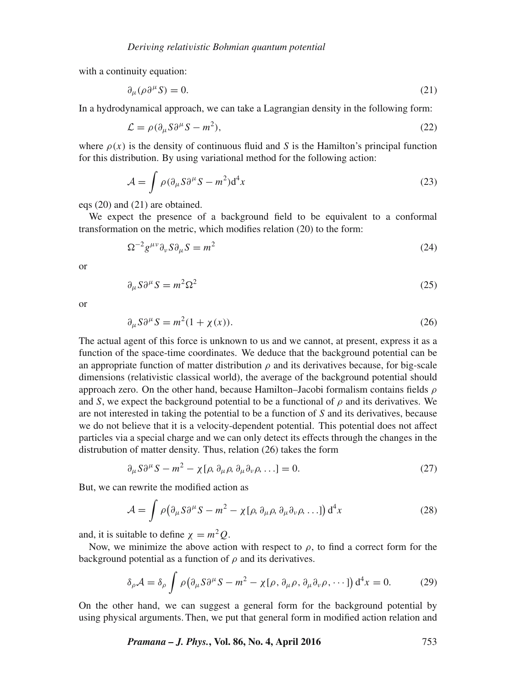with a continuity equation:

$$
\partial_{\mu}(\rho \partial^{\mu} S) = 0. \tag{21}
$$

In a hydrodynamical approach, we can take a Lagrangian density in the following form:

$$
\mathcal{L} = \rho (\partial_{\mu} S \partial^{\mu} S - m^2),\tag{22}
$$

where  $\rho(x)$  is the density of continuous fluid and S is the Hamilton's principal function for this distribution. By using variational method for the following action:

$$
\mathcal{A} = \int \rho (\partial_{\mu} S \partial^{\mu} S - m^2) d^4 x \tag{23}
$$

eqs (20) and (21) are obtained.

We expect the presence of a background field to be equivalent to a conformal transformation on the metric, which modifies relation (20) to the form:

$$
\Omega^{-2} g^{\mu\nu} \partial_{\nu} S \partial_{\mu} S = m^2 \tag{24}
$$

or

$$
\partial_{\mu} S \partial^{\mu} S = m^2 \Omega^2 \tag{25}
$$

or

$$
\partial_{\mu} S \partial^{\mu} S = m^2 (1 + \chi(x)). \tag{26}
$$

The actual agent of this force is unknown to us and we cannot, at present, express it as a function of the space-time coordinates. We deduce that the background potential can be an appropriate function of matter distribution  $\rho$  and its derivatives because, for big-scale dimensions (relativistic classical world), the average of the background potential should approach zero. On the other hand, because Hamilton–Jacobi formalism contains fields  $\rho$ and S, we expect the background potential to be a functional of  $\rho$  and its derivatives. We are not interested in taking the potential to be a function of S and its derivatives, because we do not believe that it is a velocity-dependent potential. This potential does not affect particles via a special charge and we can only detect its effects through the changes in the distrubution of matter density. Thus, relation (26) takes the form

$$
\partial_{\mu} S \partial^{\mu} S - m^2 - \chi [\rho, \partial_{\mu} \rho, \partial_{\mu} \partial_{\nu} \rho, \ldots] = 0. \tag{27}
$$

But, we can rewrite the modified action as

$$
\mathcal{A} = \int \rho \left( \partial_{\mu} S \partial^{\mu} S - m^2 - \chi [\rho, \partial_{\mu} \rho, \partial_{\mu} \partial_{\nu} \rho, \ldots] \right) d^4 x \tag{28}
$$

and, it is suitable to define  $\chi = m^2 Q$ .

Now, we minimize the above action with respect to  $\rho$ , to find a correct form for the background potential as a function of  $\rho$  and its derivatives.

$$
\delta_{\rho}\mathcal{A} = \delta_{\rho} \int \rho \big( \partial_{\mu} S \partial^{\mu} S - m^2 - \chi[\rho, \partial_{\mu} \rho, \partial_{\mu} \partial_{\nu} \rho, \cdots] \big) d^4 x = 0. \tag{29}
$$

On the other hand, we can suggest a general form for the background potential by using physical arguments. Then, we put that general form in modified action relation and

*Pramana – J. Phys.***, Vol. 86, No. 4, April 2016** 753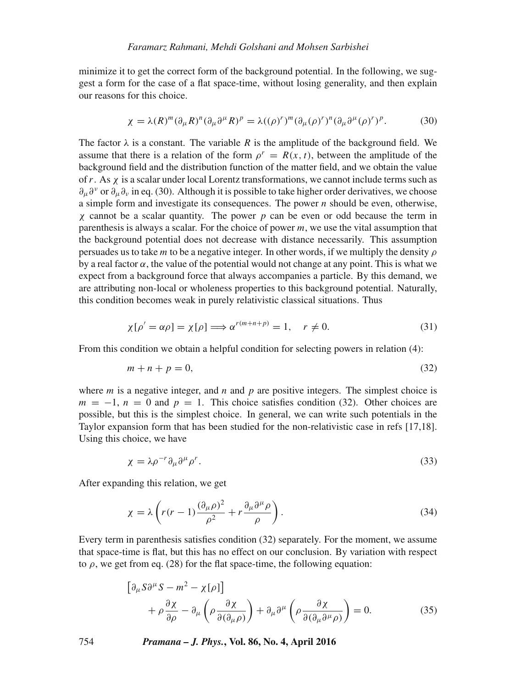minimize it to get the correct form of the background potential. In the following, we suggest a form for the case of a flat space-time, without losing generality, and then explain our reasons for this choice.

$$
\chi = \lambda(R)^m (\partial_\mu R)^n (\partial_\mu \partial^\mu R)^p = \lambda((\rho)^r)^m (\partial_\mu (\rho)^r)^n (\partial_\mu \partial^\mu (\rho)^r)^p. \tag{30}
$$

The factor  $\lambda$  is a constant. The variable R is the amplitude of the background field. We assume that there is a relation of the form  $\rho^r = R(x, t)$ , between the amplitude of the background field and the distribution function of the matter field, and we obtain the value of r. As  $\chi$  is a scalar under local Lorentz transformations, we cannot include terms such as  $\partial_\mu \partial^\nu$  or  $\partial_\mu \partial_\nu$  in eq. (30). Although it is possible to take higher order derivatives, we choose a simple form and investigate its consequences. The power n should be even, otherwise,  $\chi$  cannot be a scalar quantity. The power p can be even or odd because the term in parenthesis is always a scalar. For the choice of power m, we use the vital assumption that the background potential does not decrease with distance necessarily. This assumption persuades us to take m to be a negative integer. In other words, if we multiply the density  $\rho$ by a real factor  $\alpha$ , the value of the potential would not change at any point. This is what we expect from a background force that always accompanies a particle. By this demand, we are attributing non-local or wholeness properties to this background potential. Naturally, this condition becomes weak in purely relativistic classical situations. Thus

$$
\chi[\rho' = \alpha \rho] = \chi[\rho] \Longrightarrow \alpha^{r(m+n+p)} = 1, \quad r \neq 0.
$$
 (31)

From this condition we obtain a helpful condition for selecting powers in relation (4):

$$
m + n + p = 0,\t\t(32)
$$

where  $m$  is a negative integer, and  $n$  and  $p$  are positive integers. The simplest choice is  $m = -1$ ,  $n = 0$  and  $p = 1$ . This choice satisfies condition (32). Other choices are possible, but this is the simplest choice. In general, we can write such potentials in the Taylor expansion form that has been studied for the non-relativistic case in refs [17,18]. Using this choice, we have

$$
\chi = \lambda \rho^{-r} \partial_{\mu} \partial^{\mu} \rho^{r}.
$$
\n(33)

After expanding this relation, we get

$$
\chi = \lambda \left( r(r-1) \frac{(\partial_{\mu}\rho)^2}{\rho^2} + r \frac{\partial_{\mu}\partial^{\mu}\rho}{\rho} \right).
$$
 (34)

Every term in parenthesis satisfies condition (32) separately. For the moment, we assume that space-time is flat, but this has no effect on our conclusion. By variation with respect to  $\rho$ , we get from eq. (28) for the flat space-time, the following equation:

$$
\left[\partial_{\mu}S\partial^{\mu}S - m^{2} - \chi[\rho]\right] + \rho \frac{\partial \chi}{\partial \rho} - \partial_{\mu}\left(\rho \frac{\partial \chi}{\partial(\partial_{\mu}\rho)}\right) + \partial_{\mu}\partial^{\mu}\left(\rho \frac{\partial \chi}{\partial(\partial_{\mu}\partial^{\mu}\rho)}\right) = 0.
$$
 (35)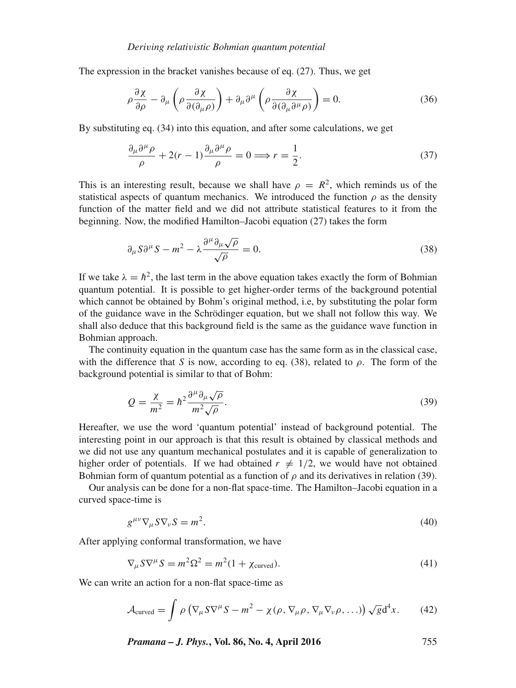The expression in the bracket vanishes because of eq. (27). Thus, we get

$$
\rho \frac{\partial \chi}{\partial \rho} - \partial_{\mu} \left( \rho \frac{\partial \chi}{\partial (\partial_{\mu} \rho)} \right) + \partial_{\mu} \partial^{\mu} \left( \rho \frac{\partial \chi}{\partial (\partial_{\mu} \partial^{\mu} \rho)} \right) = 0. \tag{36}
$$

By substituting eq. (34) into this equation, and after some calculations, we get

$$
\frac{\partial_{\mu}\partial^{\mu}\rho}{\rho} + 2(r - 1)\frac{\partial_{\mu}\partial^{\mu}\rho}{\rho} = 0 \Longrightarrow r = \frac{1}{2}.
$$
 (37)

This is an interesting result, because we shall have  $\rho = R^2$ , which reminds us of the statistical aspects of quantum mechanics. We introduced the function  $\rho$  as the density function of the matter field and we did not attribute statistical features to it from the beginning. Now, the modified Hamilton–Jacobi equation (27) takes the form

$$
\partial_{\mu} S \partial^{\mu} S - m^2 - \lambda \frac{\partial^{\mu} \partial_{\mu} \sqrt{\rho}}{\sqrt{\rho}} = 0. \tag{38}
$$

If we take  $\lambda = \hbar^2$ , the last term in the above equation takes exactly the form of Bohmian<br>quantum potential. It is possible to get bigher-order terms of the background potential quantum potential. It is possible to get higher-order terms of the background potential which cannot be obtained by Bohm's original method, i.e, by substituting the polar form of the guidance wave in the Schrödinger equation, but we shall not follow this way. We shall also deduce that this background field is the same as the guidance wave function in Bohmian approach.

The continuity equation in the quantum case has the same form as in the classical case, with the difference that S is now, according to eq. (38), related to  $\rho$ . The form of the background potential is similar to that of Bohm:

$$
Q = \frac{\chi}{m^2} = \hbar^2 \frac{\partial^\mu \partial_\mu \sqrt{\rho}}{m^2 \sqrt{\rho}}.
$$
\n(39)

Hereafter, we use the word 'quantum potential' instead of background potential. The interesting point in our approach is that this result is obtained by classical methods and we did not use any quantum mechanical postulates and it is capable of generalization to higher order of potentials. If we had obtained  $r \neq 1/2$ , we would have not obtained Bohmian form of quantum potential as a function of  $\rho$  and its derivatives in relation (39).

Our analysis can be done for a non-flat space-time. The Hamilton–Jacobi equation in a curved space-time is

$$
g^{\mu\nu}\nabla_{\mu}S\nabla_{\nu}S = m^2. \tag{40}
$$

After applying conformal transformation, we have

$$
\nabla_{\mu} S \nabla^{\mu} S = m^2 \Omega^2 = m^2 (1 + \chi_{\text{curved}}). \tag{41}
$$

We can write an action for a non-flat space-time as

$$
\mathcal{A}_{\text{curved}} = \int \rho \left( \nabla_{\mu} S \nabla^{\mu} S - m^2 - \chi(\rho, \nabla_{\mu} \rho, \nabla_{\mu} \nabla_{\nu} \rho, \ldots) \right) \sqrt{g} d^4 x. \tag{42}
$$

*Pramana – J. Phys.***, Vol. 86, No. 4, April 2016** 755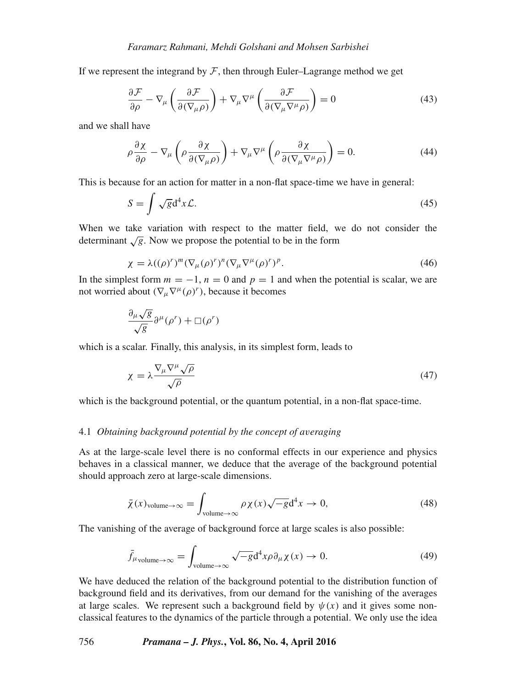If we represent the integrand by  $\mathcal F$ , then through Euler–Lagrange method we get

$$
\frac{\partial \mathcal{F}}{\partial \rho} - \nabla_{\mu} \left( \frac{\partial \mathcal{F}}{\partial (\nabla_{\mu} \rho)} \right) + \nabla_{\mu} \nabla^{\mu} \left( \frac{\partial \mathcal{F}}{\partial (\nabla_{\mu} \nabla^{\mu} \rho)} \right) = 0 \tag{43}
$$

and we shall have

$$
\rho \frac{\partial \chi}{\partial \rho} - \nabla_{\mu} \left( \rho \frac{\partial \chi}{\partial (\nabla_{\mu} \rho)} \right) + \nabla_{\mu} \nabla^{\mu} \left( \rho \frac{\partial \chi}{\partial (\nabla_{\mu} \nabla^{\mu} \rho)} \right) = 0. \tag{44}
$$

This is because for an action for matter in a non-flat space-time we have in general:

$$
S = \int \sqrt{g} d^4x \mathcal{L}.
$$
 (45)

When we take variation with respect to the matter field, we do not consider the determinant  $\sqrt{g}$ . Now we propose the potential to be in the form

$$
\chi = \lambda((\rho)^r)^m (\nabla_\mu(\rho)^r)^n (\nabla_\mu \nabla^\mu(\rho)^r)^p. \tag{46}
$$

In the simplest form  $m = -1$ ,  $n = 0$  and  $p = 1$  and when the potential is scalar, we are not worried about  $(\nabla \cdot \nabla^{\mu}(\rho)^{r})$  because it becomes not worried about  $(\nabla_{\mu} \nabla^{\mu}(\rho)^{r})$ , because it becomes

$$
\frac{\partial_{\mu}\sqrt{g}}{\sqrt{g}}\partial^{\mu}(\rho^r) + \Box(\rho^r)
$$

which is a scalar. Finally, this analysis, in its simplest form, leads to

$$
\chi = \lambda \frac{\nabla_{\mu} \nabla^{\mu} \sqrt{\rho}}{\sqrt{\rho}}
$$
\n(47)

which is the background potential, or the quantum potential, in a non-flat space-time.

#### 4.1 *Obtaining background potential by the concept of a*v*eraging*

As at the large-scale level there is no conformal effects in our experience and physics behaves in a classical manner, we deduce that the average of the background potential should approach zero at large-scale dimensions.

$$
\bar{\chi}(x)_{\text{volume}\to\infty} = \int_{\text{volume}\to\infty} \rho \chi(x) \sqrt{-g} \, \mathrm{d}^4 x \to 0,\tag{48}
$$

The vanishing of the average of background force at large scales is also possible:

$$
\bar{f}_{\mu_{\text{volume}\to\infty}} = \int_{\text{volume}\to\infty} \sqrt{-g} \, \mathrm{d}^4 x \rho \, \partial_{\mu} \chi(x) \to 0. \tag{49}
$$

We have deduced the relation of the background potential to the distribution function of background field and its derivatives, from our demand for the vanishing of the averages at large scales. We represent such a background field by  $\psi(x)$  and it gives some nonclassical features to the dynamics of the particle through a potential. We only use the idea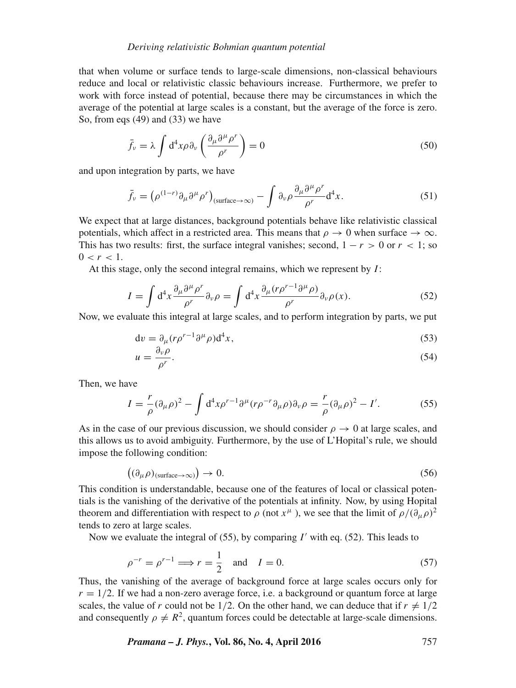#### *Deri*v*ing relati*v*istic Bohmian quantum potential*

that when volume or surface tends to large-scale dimensions, non-classical behaviours reduce and local or relativistic classic behaviours increase. Furthermore, we prefer to work with force instead of potential, because there may be circumstances in which the average of the potential at large scales is a constant, but the average of the force is zero. So, from eqs (49) and (33) we have

$$
\bar{f}_{\nu} = \lambda \int d^4 x \rho \partial_{\nu} \left( \frac{\partial_{\mu} \partial^{\mu} \rho^r}{\rho^r} \right) = 0
$$
\n(50)

and upon integration by parts, we have

$$
\bar{f}_{\nu} = \left(\rho^{(1-r)}\partial_{\mu}\partial^{\mu}\rho^{r}\right)_{\text{(surface}\to\infty)} - \int \partial_{\nu}\rho \frac{\partial_{\mu}\partial^{\mu}\rho^{r}}{\rho^{r}} d^{4}x. \tag{51}
$$

We expect that at large distances, background potentials behave like relativistic classical potentials, which affect in a restricted area. This means that  $\rho \to 0$  when surface  $\to \infty$ . This has two results: first, the surface integral vanishes; second,  $1 - r > 0$  or  $r < 1$ ; so  $0 < r < 1$ .

At this stage, only the second integral remains, which we represent by  $I$ :

$$
I = \int d^4x \frac{\partial_\mu \partial^\mu \rho^r}{\rho^r} \partial_\nu \rho = \int d^4x \frac{\partial_\mu (r \rho^{r-1} \partial^\mu \rho)}{\rho^r} \partial_\nu \rho(x).
$$
 (52)  
Now, we evaluate this integral at large scales, and to perform integration by parts, we put

$$
dv = \frac{\partial_{\mu} (r \rho^{r-1} \partial^{\mu} \rho) d^4 x}{\partial_{\mu} \rho},
$$
\n(53)

$$
u = \frac{\partial_v \rho}{\rho^r}.\tag{54}
$$

Then, we have

$$
I = \frac{r}{\rho} (\partial_{\mu}\rho)^2 - \int d^4x \rho^{r-1} \partial^{\mu} (r \rho^{-r} \partial_{\mu}\rho) \partial_{\nu}\rho = \frac{r}{\rho} (\partial_{\mu}\rho)^2 - I'. \tag{55}
$$

As in the case of our previous discussion, we should consider  $\rho \to 0$  at large scales, and this allows us to avoid ambiguity. Furthermore, by the use of L'Hopital's rule, we should impose the following condition:

$$
((\partial_{\mu}\rho)_{(\text{surface}\to\infty)}) \to 0. \tag{56}
$$

This condition is understandable, because one of the features of local or classical potentials is the vanishing of the derivative of the potentials at infinity. Now, by using Hopital theorem and differentiation with respect to  $\rho$  (not  $x^{\mu}$ ), we see that the limit of  $\rho/(\partial_{\mu}\rho)^{2}$ tends to zero at large scales.

Now we evaluate the integral of  $(55)$ , by comparing I' with eq.  $(52)$ . This leads to

$$
\rho^{-r} = \rho^{r-1} \Longrightarrow r = \frac{1}{2} \quad \text{and} \quad I = 0. \tag{57}
$$

Thus, the vanishing of the average of background force at large scales occurs only for  $r = 1/2$ . If we had a non-zero average force, i.e. a background or quantum force at large scales, the value of r could not be 1/2. On the other hand, we can deduce that if  $r \neq 1/2$ and consequently  $\rho \neq R^2$ , quantum forces could be detectable at large-scale dimensions.

*Pramana – J. Phys.***, Vol. 86, No. 4, April 2016** 757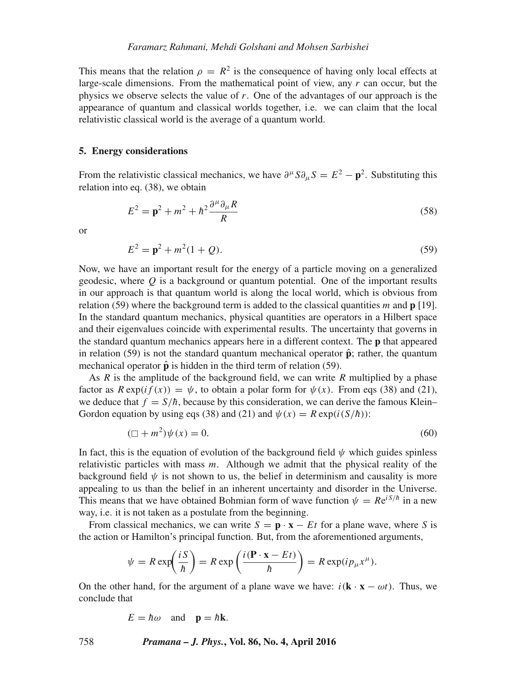This means that the relation  $\rho = R^2$  is the consequence of having only local effects at large-scale dimensions. From the mathematical point of view, any r can occur, but the large-scale dimensions. From the mathematical point of view, any  $r$  can occur, but the points we observe selects the value of  $r$ . One of the advantages of our approach is the physics we observe selects the value of r. One of the advantages of our approach is the physics we can claim that the local appearance of quantum and classical worlds together, i.e. we can claim that the local relativistic classical world is the average of a quantum world.

# **5. Energy considerations**

From the relativistic classical mechanics, we have  $\partial^{\mu} S \partial_{\mu} S = E^2 - \mathbf{p}^2$ . Substituting this relation into eq. (38), we obtain

$$
E^2 = \mathbf{p}^2 + m^2 + \hbar^2 \frac{\partial^{\mu} \partial_{\mu} R}{R}
$$
 (58)

or

$$
E^2 = \mathbf{p}^2 + m^2(1+Q). \tag{59}
$$

Now, we have an important result for the energy of a particle moving on a generalized geodesic, where  $\hat{O}$  is a background or quantum potential. One of the important results in our approach is that quantum world is along the local world, which is obvious from relation (59) where the background term is added to the classical quantities  $m$  and  $\mathbf{p}$  [19]. In the standard quantum mechanics, physical quantities are operators in a Hilbert space and their eigenvalues coincide with experimental results. The uncertainty that governs in the standard quantum mechanics appears here in a different context. The **p** that appeared in relation (59) is not the standard quantum mechanical operator  $\hat{\mathbf{p}}$ ; rather, the quantum mechanical operator  $\hat{\mathbf{p}}$  is hidden in the third term of relation (59).

As  $R$  is the amplitude of the background field, we can write  $R$  multiplied by a phase factor as  $R \exp(if(x)) = \psi$ , to obtain a polar form for  $\psi(x)$ . From eqs (38) and (21), we deduce that  $f = S/\hbar$ , because by this consideration, we can derive the famous Klein– Gordon equation by using eqs (38) and (21) and  $\psi(x) = R \exp(i(S/\hbar))$ :

$$
(\Box + m^2)\psi(x) = 0. \tag{60}
$$

In fact, this is the equation of evolution of the background field  $\psi$  which guides spinless relativistic particles with mass  $m$ . Although we admit that the physical reality of the background field  $\psi$  is not shown to us, the belief in determinism and causality is more appealing to us than the belief in an inherent uncertainty and disorder in the Universe. This means that we have obtained Bohmian form of wave function  $\psi = Re^{iS/\hbar}$  in a new way, i.e. it is not taken as a postulate from the beginning.

From classical mechanics, we can write  $S = \mathbf{p} \cdot \mathbf{x} - Et$  for a plane wave, where S is the action or Hamilton's principal function. But, from the aforementioned arguments,

$$
\psi = R \exp\left(\frac{iS}{\hbar}\right) = R \exp\left(\frac{i(\mathbf{P} \cdot \mathbf{x} - Et)}{\hbar}\right) = R \exp(i p_{\mu} x^{\mu}).
$$

On the other hand, for the argument of a plane wave we have:  $i(\mathbf{k} \cdot \mathbf{x} - \omega t)$ . Thus, we conclude that

$$
E = \hbar \omega \quad \text{and} \quad \mathbf{p} = \hbar \mathbf{k}.
$$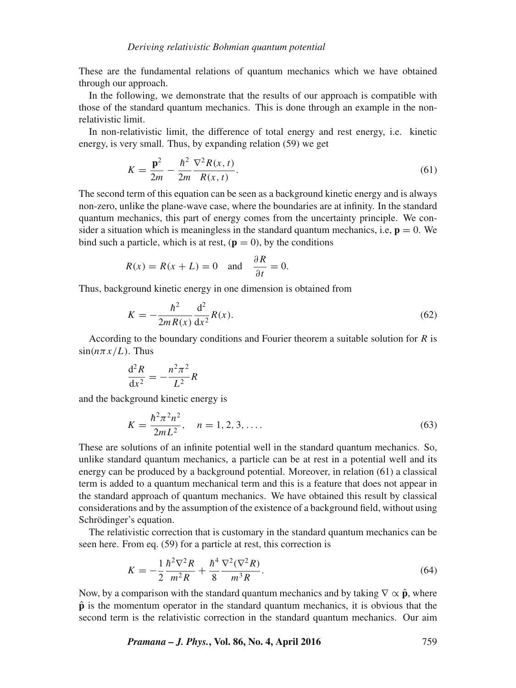These are the fundamental relations of quantum mechanics which we have obtained through our approach.

In the following, we demonstrate that the results of our approach is compatible with those of the standard quantum mechanics. This is done through an example in the nonrelativistic limit.

In non-relativistic limit, the difference of total energy and rest energy, i.e. kinetic energy, is very small. Thus, by expanding relation (59) we get

$$
K = \frac{\mathbf{p}^2}{2m} - \frac{\hbar^2}{2m} \frac{\nabla^2 R(x, t)}{R(x, t)}.
$$
 (61)

The second term of this equation can be seen as a background kinetic energy and is always non-zero, unlike the plane-wave case, where the boundaries are at infinity. In the standard quantum mechanics, this part of energy comes from the uncertainty principle. We consider a situation which is meaningless in the standard quantum mechanics, i.e,  $\mathbf{p} = 0$ . We bind such a particle, which is at rest,  $(p = 0)$ , by the conditions

$$
R(x) = R(x + L) = 0
$$
 and  $\frac{\partial R}{\partial t} = 0$ .

 $R(x) = R(x + L) = 0$  and  $\frac{d\mathbf{r}}{\partial t} = 0$ .<br>Thus, background kinetic energy in one dimension is obtained from

$$
K = -\frac{\hbar^2}{2mR(x)}\frac{d^2}{dx^2}R(x).
$$
 (62)

According to the boundary conditions and Fourier theorem a suitable solution for  $R$  is  $sin(n\pi x/L)$ . Thus

$$
\frac{\mathrm{d}^2 R}{\mathrm{d}x^2} = -\frac{n^2 \pi^2}{L^2} R
$$

 $dx^2$   $L^2$   $\therefore$ <br>and the background kinetic energy is

$$
K = \frac{\hbar^2 \pi^2 n^2}{2mL^2}, \quad n = 1, 2, 3, ....
$$
 (63)  
These are solutions of an infinite potential well in the standard quantum mechanics. So,

unlike standard quantum mechanics, a particle can be at rest in a potential well and its energy can be produced by a background potential. Moreover, in relation (61) a classical term is added to a quantum mechanical term and this is a feature that does not appear in the standard approach of quantum mechanics. We have obtained this result by classical considerations and by the assumption of the existence of a background field, without using Schrödinger's equation.

The relativistic correction that is customary in the standard quantum mechanics can be seen here. From eq. (59) for a particle at rest, this correction is

$$
K = -\frac{1}{2} \frac{\hbar^2 \nabla^2 R}{m^2 R} + \frac{\hbar^4}{8} \frac{\nabla^2 (\nabla^2 R)}{m^3 R}.
$$
 (64)

Now, by a comparison with the standard quantum mechanics and by taking  $\nabla \propto \hat{\mathbf{p}}$ , where  $\hat{\bf p}$  is the momentum operator in the standard quantum mechanics, it is obvious that the second term is the relativistic correction in the standard quantum mechanics. Our aim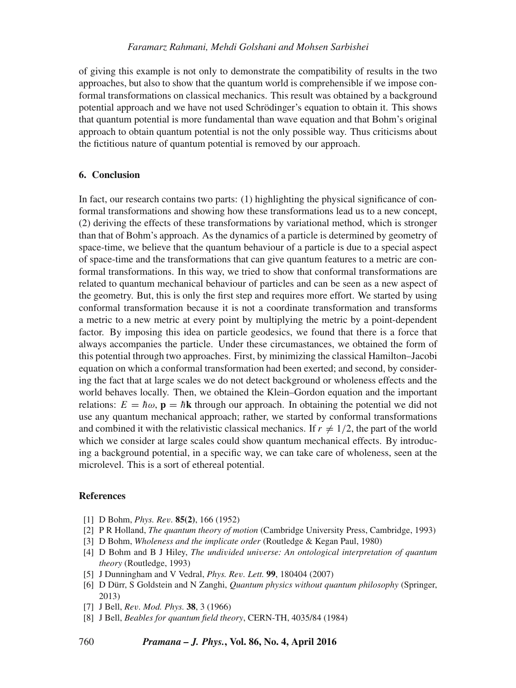of giving this example is not only to demonstrate the compatibility of results in the two approaches, but also to show that the quantum world is comprehensible if we impose conformal transformations on classical mechanics. This result was obtained by a background potential approach and we have not used Schrödinger's equation to obtain it. This shows that quantum potential is more fundamental than wave equation and that Bohm's original approach to obtain quantum potential is not the only possible way. Thus criticisms about the fictitious nature of quantum potential is removed by our approach.

# **6. Conclusion**

In fact, our research contains two parts: (1) highlighting the physical significance of conformal transformations and showing how these transformations lead us to a new concept, (2) deriving the effects of these transformations by variational method, which is stronger than that of Bohm's approach. As the dynamics of a particle is determined by geometry of space-time, we believe that the quantum behaviour of a particle is due to a special aspect of space-time and the transformations that can give quantum features to a metric are conformal transformations. In this way, we tried to show that conformal transformations are related to quantum mechanical behaviour of particles and can be seen as a new aspect of the geometry. But, this is only the first step and requires more effort. We started by using conformal transformation because it is not a coordinate transformation and transforms a metric to a new metric at every point by multiplying the metric by a point-dependent factor. By imposing this idea on particle geodesics, we found that there is a force that always accompanies the particle. Under these circumastances, we obtained the form of this potential through two approaches. First, by minimizing the classical Hamilton–Jacobi equation on which a conformal transformation had been exerted; and second, by considering the fact that at large scales we do not detect background or wholeness effects and the world behaves locally. Then, we obtained the Klein–Gordon equation and the important relations:  $E = \hbar \omega$ ,  $\mathbf{p} = \hbar \mathbf{k}$  through our approach. In obtaining the potential we did not use any quantum mechanical approach; rather, we started by conformal transformations and combined it with the relativistic classical mechanics. If  $r \neq 1/2$ , the part of the world which we consider at large scales could show quantum mechanical effects. By introducing a background potential, in a specific way, we can take care of wholeness, seen at the microlevel. This is a sort of ethereal potential.

# **References**

- [1] D Bohm, *Phys. Re*v*.* **85(2)**, 166 (1952)
- [2] P R Holland, *The quantum theory of motion* (Cambridge University Press, Cambridge, 1993)
- [3] D Bohm, *Wholeness and the implicate order* (Routledge & Kegan Paul, 1980)
- [4] D Bohm and B J Hiley, *The undi*v*ided uni*v*erse: An ontological interpretation of quantum theory* (Routledge, 1993)
- [5] J Dunningham and V Vedral, *Phys. Re*v*. Lett.* **<sup>99</sup>**, 180404 (2007)
- [6] D Dürr, S Goldstein and N Zanghi, *Quantum physics without quantum philosophy* (Springer, 2013)
- [7] J Bell, *Re*v*. Mod. Phys.* **<sup>38</sup>**, 3 (1966)
- [8] J Bell, *Beables for quantum field theory*, CERN-TH, 4035/84 (1984)